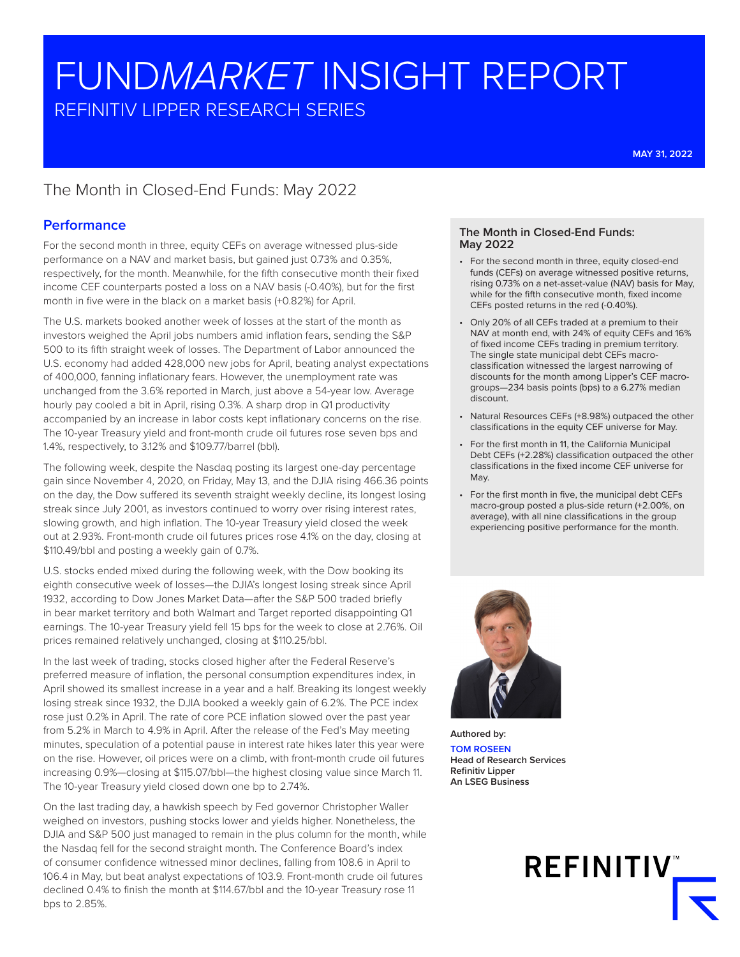# FUND*MARKET* INSIGHT REPORT REFINITIV LIPPER RESEARCH SERIES

**MAY 31, 2022**

# The Month in Closed-End Funds: May 2022

# **Performance**

For the second month in three, equity CEFs on average witnessed plus-side performance on a NAV and market basis, but gained just 0.73% and 0.35%, respectively, for the month. Meanwhile, for the fifth consecutive month their fixed income CEF counterparts posted a loss on a NAV basis (-0.40%), but for the first month in five were in the black on a market basis (+0.82%) for April.

The U.S. markets booked another week of losses at the start of the month as investors weighed the April jobs numbers amid inflation fears, sending the S&P 500 to its fifth straight week of losses. The Department of Labor announced the U.S. economy had added 428,000 new jobs for April, beating analyst expectations of 400,000, fanning inflationary fears. However, the unemployment rate was unchanged from the 3.6% reported in March, just above a 54-year low. Average hourly pay cooled a bit in April, rising 0.3%. A sharp drop in Q1 productivity accompanied by an increase in labor costs kept inflationary concerns on the rise. The 10-year Treasury yield and front-month crude oil futures rose seven bps and 1.4%, respectively, to 3.12% and \$109.77/barrel (bbl).

The following week, despite the Nasdaq posting its largest one-day percentage gain since November 4, 2020, on Friday, May 13, and the DJIA rising 466.36 points on the day, the Dow suffered its seventh straight weekly decline, its longest losing streak since July 2001, as investors continued to worry over rising interest rates, slowing growth, and high inflation. The 10-year Treasury yield closed the week out at 2.93%. Front-month crude oil futures prices rose 4.1% on the day, closing at \$110.49/bbl and posting a weekly gain of 0.7%.

U.S. stocks ended mixed during the following week, with the Dow booking its eighth consecutive week of losses—the DJIA's longest losing streak since April 1932, according to Dow Jones Market Data—after the S&P 500 traded briefly in bear market territory and both Walmart and Target reported disappointing Q1 earnings. The 10-year Treasury yield fell 15 bps for the week to close at 2.76%. Oil prices remained relatively unchanged, closing at \$110.25/bbl.

In the last week of trading, stocks closed higher after the Federal Reserve's preferred measure of inflation, the personal consumption expenditures index, in April showed its smallest increase in a year and a half. Breaking its longest weekly losing streak since 1932, the DJIA booked a weekly gain of 6.2%. The PCE index rose just 0.2% in April. The rate of core PCE inflation slowed over the past year from 5.2% in March to 4.9% in April. After the release of the Fed's May meeting minutes, speculation of a potential pause in interest rate hikes later this year were on the rise. However, oil prices were on a climb, with front-month crude oil futures increasing 0.9%—closing at \$115.07/bbl—the highest closing value since March 11. The 10-year Treasury yield closed down one bp to 2.74%.

On the last trading day, a hawkish speech by Fed governor Christopher Waller weighed on investors, pushing stocks lower and yields higher. Nonetheless, the DJIA and S&P 500 just managed to remain in the plus column for the month, while the Nasdaq fell for the second straight month. The Conference Board's index of consumer confidence witnessed minor declines, falling from 108.6 in April to 106.4 in May, but beat analyst expectations of 103.9. Front-month crude oil futures declined 0.4% to finish the month at \$114.67/bbl and the 10-year Treasury rose 11 bps to 2.85%.

#### **The Month in Closed-End Funds: May 2022**

- For the second month in three, equity closed-end funds (CEFs) on average witnessed positive returns, rising 0.73% on a net-asset-value (NAV) basis for May, while for the fifth consecutive month, fixed income CEFs posted returns in the red (-0.40%).
- Only 20% of all CEFs traded at a premium to their NAV at month end, with 24% of equity CEFs and 16% of fixed income CEFs trading in premium territory. The single state municipal debt CEFs macroclassification witnessed the largest narrowing of discounts for the month among Lipper's CEF macrogroups—234 basis points (bps) to a 6.27% median discount.
- Natural Resources CEFs (+8.98%) outpaced the other classifications in the equity CEF universe for May.
- For the first month in 11, the California Municipal Debt CEFs (+2.28%) classification outpaced the other classifications in the fixed income CEF universe for May.
- For the first month in five, the municipal debt CEFs macro-group posted a plus-side return (+2.00%, on average), with all nine classifications in the group experiencing positive performance for the month.



**Authored by: TOM ROSEEN Head of Research Services Refinitiv Lipper An LSEG Business** 

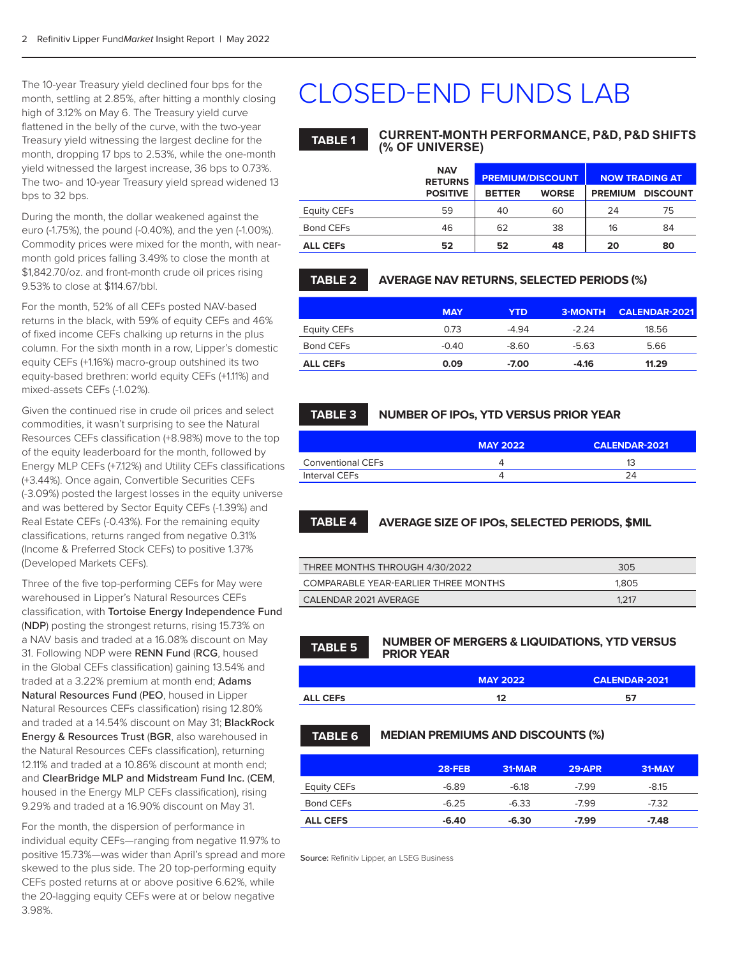The 10-year Treasury yield declined four bps for the month, settling at 2.85%, after hitting a monthly closing high of 3.12% on May 6. The Treasury yield curve flattened in the belly of the curve, with the two-year Treasury yield witnessing the largest decline for the month, dropping 17 bps to 2.53%, while the one-month yield witnessed the largest increase, 36 bps to 0.73%. The two- and 10-year Treasury yield spread widened 13 bps to 32 bps.

During the month, the dollar weakened against the euro (-1.75%), the pound (-0.40%), and the yen (-1.00%). Commodity prices were mixed for the month, with nearmonth gold prices falling 3.49% to close the month at \$1,842.70/oz. and front-month crude oil prices rising 9.53% to close at \$114.67/bbl.

For the month, 52% of all CEFs posted NAV-based returns in the black, with 59% of equity CEFs and 46% of fixed income CEFs chalking up returns in the plus column. For the sixth month in a row, Lipper's domestic equity CEFs (+1.16%) macro-group outshined its two equity-based brethren: world equity CEFs (+1.11%) and mixed-assets CEFs (-1.02%).

Given the continued rise in crude oil prices and select commodities, it wasn't surprising to see the Natural Resources CEFs classification (+8.98%) move to the top of the equity leaderboard for the month, followed by Energy MLP CEFs (+7.12%) and Utility CEFs classifications (+3.44%). Once again, Convertible Securities CEFs (-3.09%) posted the largest losses in the equity universe and was bettered by Sector Equity CEFs (-1.39%) and Real Estate CEFs (-0.43%). For the remaining equity classifications, returns ranged from negative 0.31% (Income & Preferred Stock CEFs) to positive 1.37% (Developed Markets CEFs).

Three of the five top-performing CEFs for May were warehoused in Lipper's Natural Resources CEFs classification, with Tortoise Energy Independence Fund (NDP) posting the strongest returns, rising 15.73% on a NAV basis and traded at a 16.08% discount on May 31. Following NDP were RENN Fund (RCG, housed in the Global CEFs classification) gaining 13.54% and traded at a 3.22% premium at month end; Adams Natural Resources Fund (PEO, housed in Lipper Natural Resources CEFs classification) rising 12.80% and traded at a 14.54% discount on May 31; BlackRock Energy & Resources Trust (BGR, also warehoused in the Natural Resources CEFs classification), returning 12.11% and traded at a 10.86% discount at month end; and ClearBridge MLP and Midstream Fund Inc. (CEM, housed in the Energy MLP CEFs classification), rising 9.29% and traded at a 16.90% discount on May 31.

For the month, the dispersion of performance in individual equity CEFs—ranging from negative 11.97% to positive 15.73%—was wider than April's spread and more skewed to the plus side. The 20 top-performing equity CEFs posted returns at or above positive 6.62%, while the 20-lagging equity CEFs were at or below negative 3.98%.

# CLOSED-END FUNDS LAB

### **TABLE 1 CURRENT-MONTH PERFORMANCE, P&D, P&D SHIFTS (% OF UNIVERSE)**

|                  | <b>NAV</b><br><b>RETURNS</b> | <b>PREMIUM/DISCOUNT</b> |              | <b>NOW TRADING AT</b> |                 |
|------------------|------------------------------|-------------------------|--------------|-----------------------|-----------------|
|                  | <b>POSITIVE</b>              | <b>BETTER</b>           | <b>WORSE</b> | <b>PREMIUM</b>        | <b>DISCOUNT</b> |
| Equity CEFs      | 59                           | 40                      | 60           | 24                    | 75              |
| <b>Bond CEFs</b> | 46                           | 62                      | 38           | 16                    | 84              |
| <b>ALL CEFS</b>  | 52                           | 52                      | 48           | 20                    | 80              |

### **TABLE 2 AVERAGE NAV RETURNS, SELECTED PERIODS (%)**

|                    | <b>MAY</b> | YTD     | 3-MONTH | <b>CALENDAR-2021</b> |
|--------------------|------------|---------|---------|----------------------|
| <b>Equity CEFs</b> | 0.73       | $-494$  | $-2.24$ | 18.56                |
| Bond CEFs          | $-0.40$    | $-8.60$ | $-5.63$ | 5.66                 |
| <b>ALL CEFS</b>    | 0.09       | $-7.00$ | $-4.16$ | 11.29                |

#### **TABLE 3 NUMBER OF IPOs, YTD VERSUS PRIOR YEAR**

|                          | <b>MAY 2022</b> | CALENDAR-2021 |
|--------------------------|-----------------|---------------|
| <b>Conventional CEFs</b> |                 |               |
| Interval CEFs            |                 |               |

#### **TABLE 4 AVERAGE SIZE OF IPOs, SELECTED PERIODS, \$MIL**

| THREE MONTHS THROUGH 4/30/2022       | 305   |
|--------------------------------------|-------|
| COMPARABLE YEAR-EARLIER THREE MONTHS | 1.805 |
| CALENDAR 2021 AVERAGE                | 1.217 |

#### **TABLE 5 NUMBER OF MERGERS & LIQUIDATIONS, YTD VERSUS PRIOR YEAR**

|                 | <b>MAY 2022</b> | <b>CALENDAR-2021</b> |
|-----------------|-----------------|----------------------|
| <b>ALL CEFS</b> | 49              | 57                   |

#### **TABLE 6 MEDIAN PREMIUMS AND DISCOUNTS (%)**

|                 | $28$ -FEB | $31-MAR$ | <b>29-APR</b> | $31-MAY$ |
|-----------------|-----------|----------|---------------|----------|
| Equity CEFs     | $-6.89$   | $-6.18$  | $-7.99$       | $-8.15$  |
| Bond CEFs       | $-6.25$   | $-6.33$  | $-7.99$       | $-7.32$  |
| <b>ALL CEFS</b> | $-6.40$   | $-6.30$  | -7.99         | $-7.48$  |

Source: Refinitiv Lipper, an LSEG Business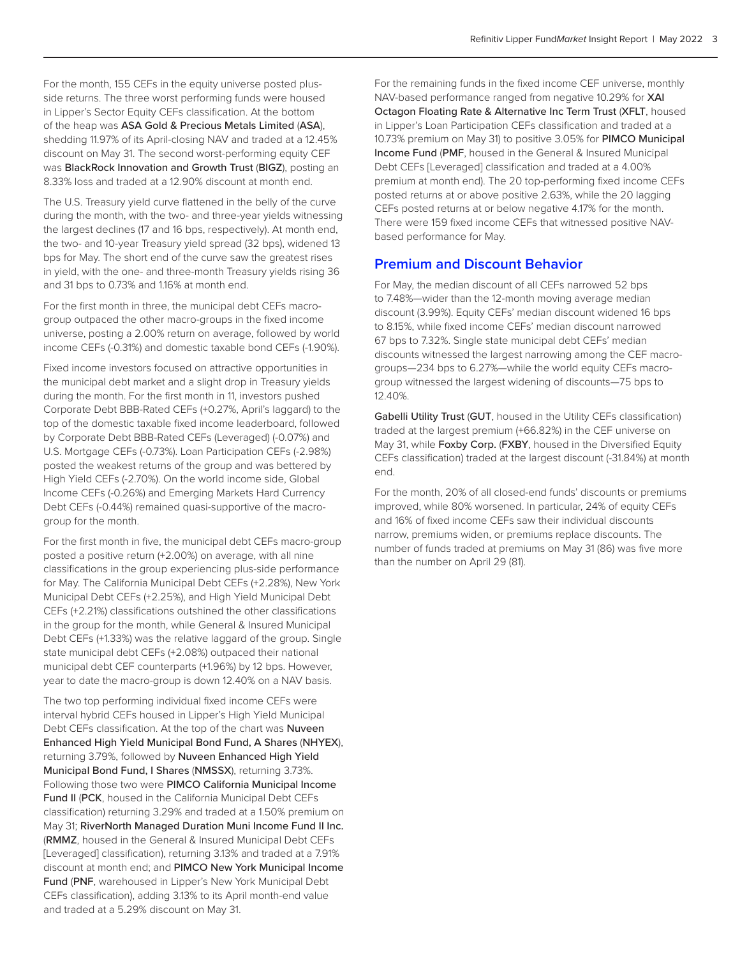For the month, 155 CEFs in the equity universe posted plusside returns. The three worst performing funds were housed in Lipper's Sector Equity CEFs classification. At the bottom of the heap was ASA Gold & Precious Metals Limited (ASA), shedding 11.97% of its April-closing NAV and traded at a 12.45% discount on May 31. The second worst-performing equity CEF was BlackRock Innovation and Growth Trust (BIGZ), posting an 8.33% loss and traded at a 12.90% discount at month end.

The U.S. Treasury yield curve flattened in the belly of the curve during the month, with the two- and three-year yields witnessing the largest declines (17 and 16 bps, respectively). At month end, the two- and 10-year Treasury yield spread (32 bps), widened 13 bps for May. The short end of the curve saw the greatest rises in yield, with the one- and three-month Treasury yields rising 36 and 31 bps to 0.73% and 1.16% at month end.

For the first month in three, the municipal debt CEFs macrogroup outpaced the other macro-groups in the fixed income universe, posting a 2.00% return on average, followed by world income CEFs (-0.31%) and domestic taxable bond CEFs (-1.90%).

Fixed income investors focused on attractive opportunities in the municipal debt market and a slight drop in Treasury yields during the month. For the first month in 11, investors pushed Corporate Debt BBB-Rated CEFs (+0.27%, April's laggard) to the top of the domestic taxable fixed income leaderboard, followed by Corporate Debt BBB-Rated CEFs (Leveraged) (-0.07%) and U.S. Mortgage CEFs (-0.73%). Loan Participation CEFs (-2.98%) posted the weakest returns of the group and was bettered by High Yield CEFs (-2.70%). On the world income side, Global Income CEFs (-0.26%) and Emerging Markets Hard Currency Debt CEFs (-0.44%) remained quasi-supportive of the macrogroup for the month.

For the first month in five, the municipal debt CEFs macro-group posted a positive return (+2.00%) on average, with all nine classifications in the group experiencing plus-side performance for May. The California Municipal Debt CEFs (+2.28%), New York Municipal Debt CEFs (+2.25%), and High Yield Municipal Debt CEFs (+2.21%) classifications outshined the other classifications in the group for the month, while General & Insured Municipal Debt CEFs (+1.33%) was the relative laggard of the group. Single state municipal debt CEFs (+2.08%) outpaced their national municipal debt CEF counterparts (+1.96%) by 12 bps. However, year to date the macro-group is down 12.40% on a NAV basis.

The two top performing individual fixed income CEFs were interval hybrid CEFs housed in Lipper's High Yield Municipal Debt CEFs classification. At the top of the chart was Nuveen Enhanced High Yield Municipal Bond Fund, A Shares (NHYEX), returning 3.79%, followed by Nuveen Enhanced High Yield Municipal Bond Fund, I Shares (NMSSX), returning 3.73%. Following those two were PIMCO California Municipal Income Fund II (PCK, housed in the California Municipal Debt CEFs classification) returning 3.29% and traded at a 1.50% premium on May 31; RiverNorth Managed Duration Muni Income Fund II Inc. (RMMZ, housed in the General & Insured Municipal Debt CEFs [Leveraged] classification), returning 3.13% and traded at a 7.91% discount at month end; and PIMCO New York Municipal Income Fund (PNF, warehoused in Lipper's New York Municipal Debt CEFs classification), adding 3.13% to its April month-end value and traded at a 5.29% discount on May 31.

For the remaining funds in the fixed income CEF universe, monthly NAV-based performance ranged from negative 10.29% for XAI Octagon Floating Rate & Alternative Inc Term Trust (XFLT, housed in Lipper's Loan Participation CEFs classification and traded at a 10.73% premium on May 31) to positive 3.05% for PIMCO Municipal Income Fund (PMF, housed in the General & Insured Municipal Debt CEFs [Leveraged] classification and traded at a 4.00% premium at month end). The 20 top-performing fixed income CEFs posted returns at or above positive 2.63%, while the 20 lagging CEFs posted returns at or below negative 4.17% for the month. There were 159 fixed income CEFs that witnessed positive NAVbased performance for May.

### **Premium and Discount Behavior**

For May, the median discount of all CEFs narrowed 52 bps to 7.48%—wider than the 12-month moving average median discount (3.99%). Equity CEFs' median discount widened 16 bps to 8.15%, while fixed income CEFs' median discount narrowed 67 bps to 7.32%. Single state municipal debt CEFs' median discounts witnessed the largest narrowing among the CEF macrogroups—234 bps to 6.27%—while the world equity CEFs macrogroup witnessed the largest widening of discounts—75 bps to 12.40%.

Gabelli Utility Trust (GUT, housed in the Utility CEFs classification) traded at the largest premium (+66.82%) in the CEF universe on May 31, while Foxby Corp. (FXBY, housed in the Diversified Equity CEFs classification) traded at the largest discount (-31.84%) at month end.

For the month, 20% of all closed-end funds' discounts or premiums improved, while 80% worsened. In particular, 24% of equity CEFs and 16% of fixed income CEFs saw their individual discounts narrow, premiums widen, or premiums replace discounts. The number of funds traded at premiums on May 31 (86) was five more than the number on April 29 (81).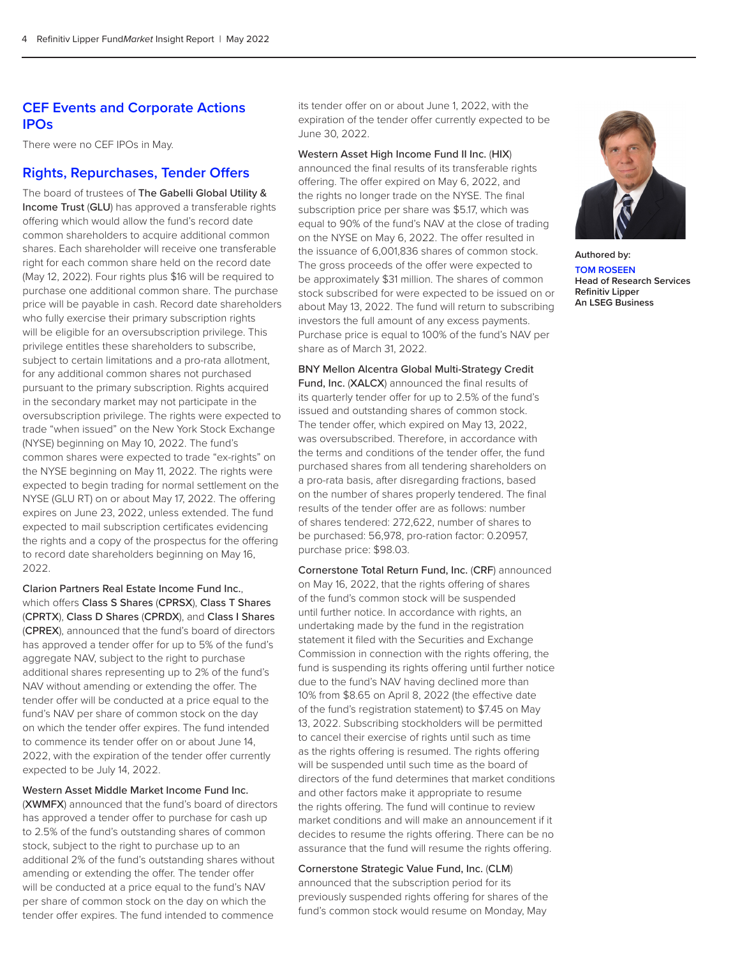# **CEF Events and Corporate Actions IPOs**

There were no CEF IPOs in May.

## **Rights, Repurchases, Tender Offers**

The board of trustees of The Gabelli Global Utility & Income Trust (GLU) has approved a transferable rights offering which would allow the fund's record date common shareholders to acquire additional common shares. Each shareholder will receive one transferable right for each common share held on the record date (May 12, 2022). Four rights plus \$16 will be required to purchase one additional common share. The purchase price will be payable in cash. Record date shareholders who fully exercise their primary subscription rights will be eligible for an oversubscription privilege. This privilege entitles these shareholders to subscribe, subject to certain limitations and a pro-rata allotment, for any additional common shares not purchased pursuant to the primary subscription. Rights acquired in the secondary market may not participate in the oversubscription privilege. The rights were expected to trade "when issued" on the New York Stock Exchange (NYSE) beginning on May 10, 2022. The fund's common shares were expected to trade "ex-rights" on the NYSE beginning on May 11, 2022. The rights were expected to begin trading for normal settlement on the NYSE (GLU RT) on or about May 17, 2022. The offering expires on June 23, 2022, unless extended. The fund expected to mail subscription certificates evidencing the rights and a copy of the prospectus for the offering to record date shareholders beginning on May 16, 2022.

Clarion Partners Real Estate Income Fund Inc., which offers Class S Shares (CPRSX), Class T Shares (CPRTX), Class D Shares (CPRDX), and Class I Shares (CPREX), announced that the fund's board of directors has approved a tender offer for up to 5% of the fund's aggregate NAV, subject to the right to purchase additional shares representing up to 2% of the fund's NAV without amending or extending the offer. The tender offer will be conducted at a price equal to the fund's NAV per share of common stock on the day on which the tender offer expires. The fund intended to commence its tender offer on or about June 14, 2022, with the expiration of the tender offer currently expected to be July 14, 2022.

#### Western Asset Middle Market Income Fund Inc.

(XWMFX) announced that the fund's board of directors has approved a tender offer to purchase for cash up to 2.5% of the fund's outstanding shares of common stock, subject to the right to purchase up to an additional 2% of the fund's outstanding shares without amending or extending the offer. The tender offer will be conducted at a price equal to the fund's NAV per share of common stock on the day on which the tender offer expires. The fund intended to commence

its tender offer on or about June 1, 2022, with the expiration of the tender offer currently expected to be June 30, 2022.

#### Western Asset High Income Fund II Inc. (HIX)

announced the final results of its transferable rights offering. The offer expired on May 6, 2022, and the rights no longer trade on the NYSE. The final subscription price per share was \$5.17, which was equal to 90% of the fund's NAV at the close of trading on the NYSE on May 6, 2022. The offer resulted in the issuance of 6,001,836 shares of common stock. The gross proceeds of the offer were expected to be approximately \$31 million. The shares of common stock subscribed for were expected to be issued on or about May 13, 2022. The fund will return to subscribing investors the full amount of any excess payments. Purchase price is equal to 100% of the fund's NAV per share as of March 31, 2022.

BNY Mellon Alcentra Global Multi-Strategy Credit Fund, Inc. (XALCX) announced the final results of its quarterly tender offer for up to 2.5% of the fund's issued and outstanding shares of common stock. The tender offer, which expired on May 13, 2022, was oversubscribed. Therefore, in accordance with the terms and conditions of the tender offer, the fund purchased shares from all tendering shareholders on a pro-rata basis, after disregarding fractions, based on the number of shares properly tendered. The final results of the tender offer are as follows: number of shares tendered: 272,622, number of shares to be purchased: 56,978, pro-ration factor: 0.20957, purchase price: \$98.03.

Cornerstone Total Return Fund, Inc. (CRF) announced on May 16, 2022, that the rights offering of shares of the fund's common stock will be suspended until further notice. In accordance with rights, an undertaking made by the fund in the registration statement it filed with the Securities and Exchange Commission in connection with the rights offering, the fund is suspending its rights offering until further notice due to the fund's NAV having declined more than 10% from \$8.65 on April 8, 2022 (the effective date of the fund's registration statement) to \$7.45 on May 13, 2022. Subscribing stockholders will be permitted to cancel their exercise of rights until such as time as the rights offering is resumed. The rights offering will be suspended until such time as the board of directors of the fund determines that market conditions and other factors make it appropriate to resume the rights offering. The fund will continue to review market conditions and will make an announcement if it decides to resume the rights offering. There can be no assurance that the fund will resume the rights offering.

Cornerstone Strategic Value Fund, Inc. (CLM) announced that the subscription period for its previously suspended rights offering for shares of the fund's common stock would resume on Monday, May



**Authored by: TOM ROSEEN Head of Research Services Refinitiv Lipper An LSEG Business**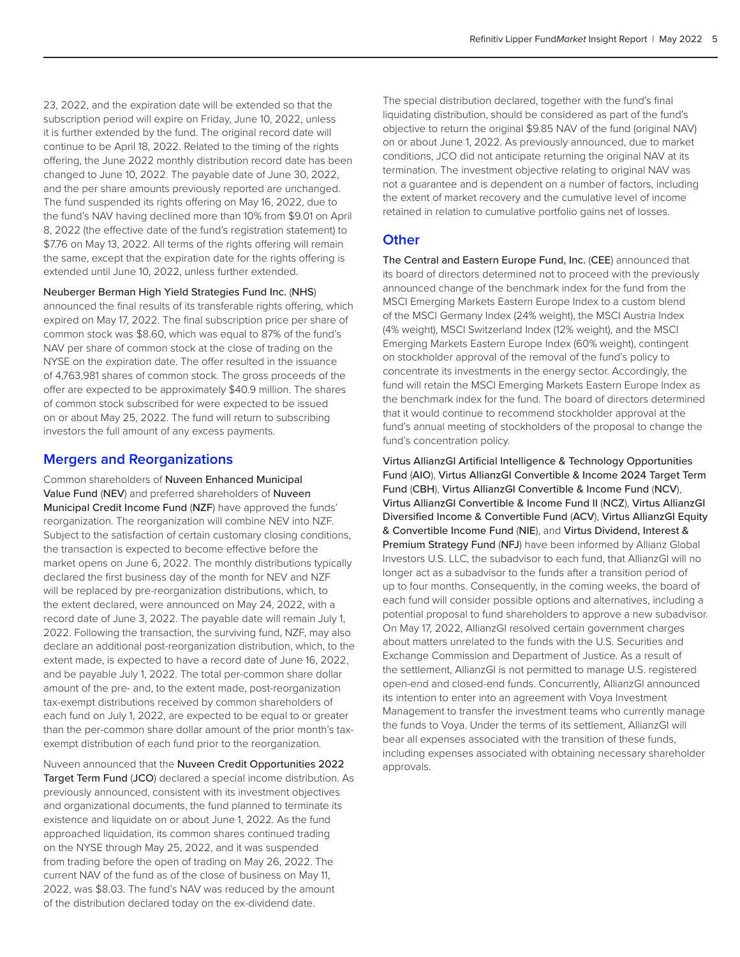23, 2022, and the expiration date will be extended so that the subscription period will expire on Friday, June 10, 2022, unless it is further extended by the fund. The original record date will continue to be April 18, 2022. Related to the timing of the rights offering, the June 2022 monthly distribution record date has been changed to June 10, 2022. The payable date of June 30, 2022, and the per share amounts previously reported are unchanged. The fund suspended its rights offering on May 16, 2022, due to the fund's NAV having declined more than 10% from \$9.01 on April 8, 2022 (the effective date of the fund's registration statement) to \$7.76 on May 13, 2022. All terms of the rights offering will remain the same, except that the expiration date for the rights offering is extended until June 10, 2022, unless further extended.

#### Neuberger Berman High Yield Strategies Fund Inc. (NHS)

announced the final results of its transferable rights offering, which expired on May 17, 2022. The final subscription price per share of common stock was \$8.60, which was equal to 87% of the fund's NAV per share of common stock at the close of trading on the NYSE on the expiration date. The offer resulted in the issuance of 4,763,981 shares of common stock. The gross proceeds of the offer are expected to be approximately \$40.9 million. The shares of common stock subscribed for were expected to be issued on or about May 25, 2022. The fund will return to subscribing investors the full amount of any excess payments.

#### **Mergers and Reorganizations**

Common shareholders of Nuveen Enhanced Municipal Value Fund (NEV) and preferred shareholders of Nuveen Municipal Credit Income Fund (NZF) have approved the funds' reorganization. The reorganization will combine NEV into NZF. Subject to the satisfaction of certain customary closing conditions, the transaction is expected to become effective before the market opens on June 6, 2022. The monthly distributions typically declared the first business day of the month for NEV and NZF will be replaced by pre-reorganization distributions, which, to the extent declared, were announced on May 24, 2022, with a record date of June 3, 2022. The payable date will remain July 1, 2022. Following the transaction, the surviving fund, NZF, may also declare an additional post-reorganization distribution, which, to the extent made, is expected to have a record date of June 16, 2022, and be payable July 1, 2022. The total per-common share dollar amount of the pre- and, to the extent made, post-reorganization tax-exempt distributions received by common shareholders of each fund on July 1, 2022, are expected to be equal to or greater than the per-common share dollar amount of the prior month's taxexempt distribution of each fund prior to the reorganization.

Nuveen announced that the Nuveen Credit Opportunities 2022 Target Term Fund (JCO) declared a special income distribution. As previously announced, consistent with its investment objectives and organizational documents, the fund planned to terminate its existence and liquidate on or about June 1, 2022. As the fund approached liquidation, its common shares continued trading on the NYSE through May 25, 2022, and it was suspended from trading before the open of trading on May 26, 2022. The current NAV of the fund as of the close of business on May 11, 2022, was \$8.03. The fund's NAV was reduced by the amount of the distribution declared today on the ex-dividend date.

The special distribution declared, together with the fund's final liquidating distribution, should be considered as part of the fund's objective to return the original \$9.85 NAV of the fund (original NAV) on or about June 1, 2022. As previously announced, due to market conditions, JCO did not anticipate returning the original NAV at its termination. The investment objective relating to original NAV was not a guarantee and is dependent on a number of factors, including the extent of market recovery and the cumulative level of income retained in relation to cumulative portfolio gains net of losses.

## **Other**

The Central and Eastern Europe Fund, Inc. (CEE) announced that its board of directors determined not to proceed with the previously announced change of the benchmark index for the fund from the MSCI Emerging Markets Eastern Europe Index to a custom blend of the MSCI Germany Index (24% weight), the MSCI Austria Index (4% weight), MSCI Switzerland Index (12% weight), and the MSCI Emerging Markets Eastern Europe Index (60% weight), contingent on stockholder approval of the removal of the fund's policy to concentrate its investments in the energy sector. Accordingly, the fund will retain the MSCI Emerging Markets Eastern Europe Index as the benchmark index for the fund. The board of directors determined that it would continue to recommend stockholder approval at the fund's annual meeting of stockholders of the proposal to change the fund's concentration policy.

Virtus AllianzGI Artificial Intelligence & Technology Opportunities Fund (AIO), Virtus AllianzGI Convertible & Income 2024 Target Term Fund (CBH), Virtus AllianzGI Convertible & Income Fund (NCV), Virtus AllianzGI Convertible & Income Fund II (NCZ), Virtus AllianzGI Diversified Income & Convertible Fund (ACV), Virtus AllianzGI Equity & Convertible Income Fund (NIE), and Virtus Dividend, Interest & Premium Strategy Fund (NFJ) have been informed by Allianz Global Investors U.S. LLC, the subadvisor to each fund, that AllianzGI will no longer act as a subadvisor to the funds after a transition period of up to four months. Consequently, in the coming weeks, the board of each fund will consider possible options and alternatives, including a potential proposal to fund shareholders to approve a new subadvisor. On May 17, 2022, AllianzGI resolved certain government charges about matters unrelated to the funds with the U.S. Securities and Exchange Commission and Department of Justice. As a result of the settlement, AllianzGI is not permitted to manage U.S. registered open-end and closed-end funds. Concurrently, AllianzGI announced its intention to enter into an agreement with Voya Investment Management to transfer the investment teams who currently manage the funds to Voya. Under the terms of its settlement, AllianzGI will bear all expenses associated with the transition of these funds, including expenses associated with obtaining necessary shareholder approvals.